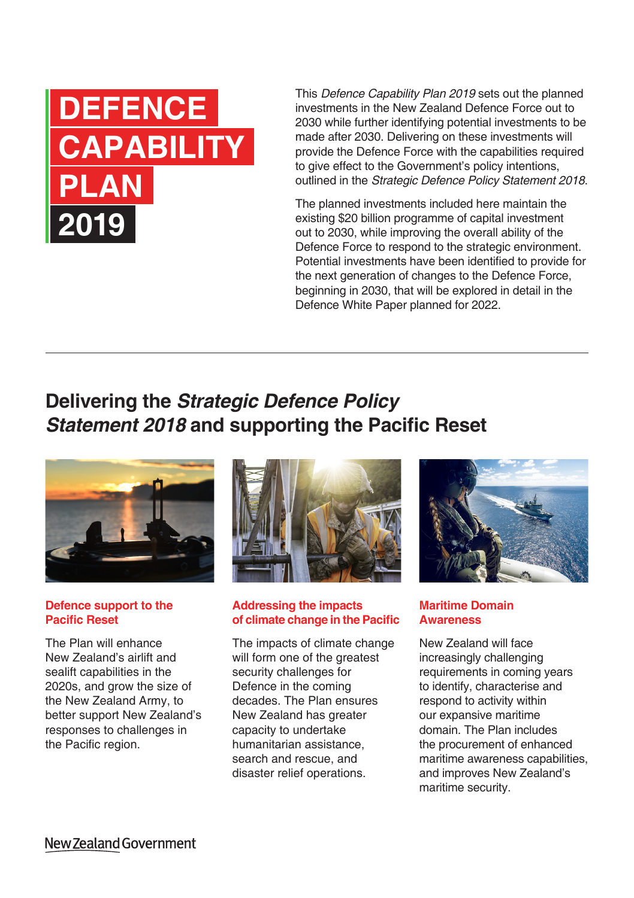# **DEFENCE CAPABILITY PLAN 2019**

This *Defence Capability Plan 2019* sets out the planned investments in the New Zealand Defence Force out to 2030 while further identifying potential investments to be made after 2030. Delivering on these investments will provide the Defence Force with the capabilities required to give effect to the Government's policy intentions, outlined in the *Strategic Defence Policy Statement 2018*.

The planned investments included here maintain the existing \$20 billion programme of capital investment out to 2030, while improving the overall ability of the Defence Force to respond to the strategic environment. Potential investments have been identified to provide for the next generation of changes to the Defence Force, beginning in 2030, that will be explored in detail in the Defence White Paper planned for 2022.

## **Delivering the** *Strategic Defence Policy Statement 2018* **and supporting the Pacific Reset**



#### **Defence support to the Pacific Reset**

The Plan will enhance New Zealand's airlift and sealift capabilities in the 2020s, and grow the size of the New Zealand Army, to better support New Zealand's responses to challenges in the Pacific region.



### **Addressing the impacts of climate change in the Pacific**

The impacts of climate change will form one of the greatest security challenges for Defence in the coming decades. The Plan ensures New Zealand has greater capacity to undertake humanitarian assistance, search and rescue, and disaster relief operations.



### **Maritime Domain Awareness**

New Zealand will face increasingly challenging requirements in coming years to identify, characterise and respond to activity within our expansive maritime domain. The Plan includes the procurement of enhanced maritime awareness capabilities, and improves New Zealand's maritime security.